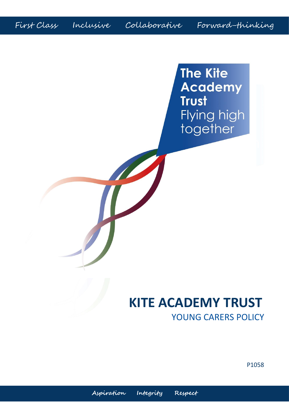First Class Inclusive Collaborative Forward-thinking

**The Kite Academy Trust** Flying high together

# **KITE ACADEMY TRUST** YOUNG CARERS POLICY

P1058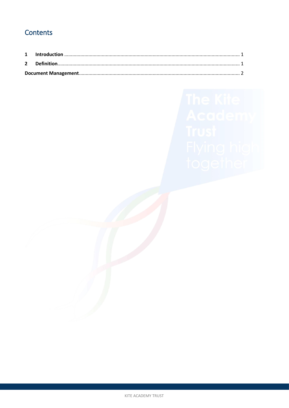## Contents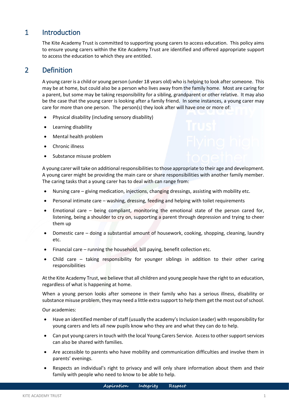#### <span id="page-2-0"></span>1 Introduction

The Kite Academy Trust is committed to supporting young carers to access education. This policy aims to ensure young carers within the Kite Academy Trust are identified and offered appropriate support to access the education to which they are entitled.

### <span id="page-2-1"></span>2 Definition

A young carer is a child or young person (under 18 years old) who is helping to look after someone. This may be at home, but could also be a person who lives away from the family home. Most are caring for a parent, but some may be taking responsibility for a sibling, grandparent or other relative. It may also be the case that the young carer is looking after a family friend. In some instances, a young carer may care for more than one person. The person(s) they look after will have one or more of:

- Physical disability (including sensory disability)
- Learning disability
- Mental health problem
- Chronic illness
- Substance misuse problem

A young carer will take on additional responsibilities to those appropriate to their age and development. A young carer might be providing the main care or share responsibilities with another family member. The caring tasks that a young carer has to deal with can range from:

- Nursing care giving medication, injections, changing dressings, assisting with mobility etc.
- Personal intimate care washing, dressing, feeding and helping with toilet requirements
- Emotional care being compliant, monitoring the emotional state of the person cared for, listening, being a shoulder to cry on, supporting a parent through depression and trying to cheer them up
- Domestic care doing a substantial amount of housework, cooking, shopping, cleaning, laundry etc.
- Financial care running the household, bill paying, benefit collection etc.
- Child care taking responsibility for younger siblings in addition to their other caring responsibilities

At the Kite Academy Trust, we believe that all children and young people have the right to an education, regardless of what is happening at home.

When a young person looks after someone in their family who has a serious illness, disability or substance misuse problem, they may need a little extra support to help them get the most out of school.

Our academies:

- Have an identified member of staff (usually the academy's Inclusion Leader) with responsibility for young carers and lets all new pupils know who they are and what they can do to help.
- Can put young carers in touch with the local Young Carers Service. Access to other support services can also be shared with families.
- Are accessible to parents who have mobility and communication difficulties and involve them in parents' evenings.
- Respects an individual's right to privacy and will only share information about them and their family with people who need to know to be able to help.